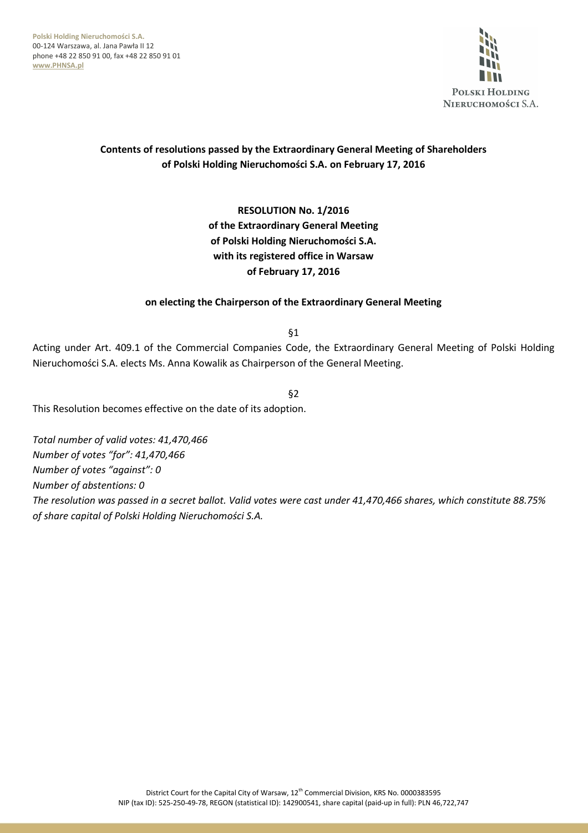**Polski Holding Nieruchomości S.A.**  00-124 Warszawa, al. Jana Pawła II 12 phone +48 22 850 91 00, fax +48 22 850 91 01 **www.PHNSA.pl**



# **Contents of resolutions passed by the Extraordinary General Meeting of Shareholders of Polski Holding Nieruchomości S.A. on February 17, 2016**

**RESOLUTION No. 1/2016 of the Extraordinary General Meeting of Polski Holding Nieruchomości S.A. with its registered office in Warsaw of February 17, 2016** 

### **on electing the Chairperson of the Extraordinary General Meeting**

§1

Acting under Art. 409.1 of the Commercial Companies Code, the Extraordinary General Meeting of Polski Holding Nieruchomości S.A. elects Ms. Anna Kowalik as Chairperson of the General Meeting.

§2

This Resolution becomes effective on the date of its adoption.

*Total number of valid votes: 41,470,466 Number of votes "for": 41,470,466 Number of votes "against": 0 Number of abstentions: 0 The resolution was passed in a secret ballot. Valid votes were cast under 41,470,466 shares, which constitute 88.75% of share capital of Polski Holding Nieruchomości S.A.*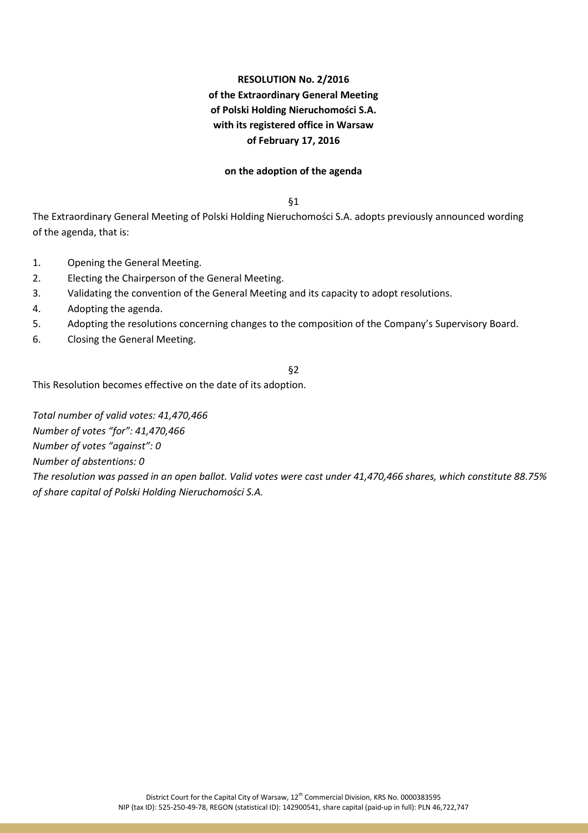# **RESOLUTION No. 2/2016 of the Extraordinary General Meeting of Polski Holding Nieruchomości S.A. with its registered office in Warsaw of February 17, 2016**

#### **on the adoption of the agenda**

§1

The Extraordinary General Meeting of Polski Holding Nieruchomości S.A. adopts previously announced wording of the agenda, that is:

- 1. Opening the General Meeting.
- 2. Electing the Chairperson of the General Meeting.
- 3. Validating the convention of the General Meeting and its capacity to adopt resolutions.
- 4. Adopting the agenda.
- 5. Adopting the resolutions concerning changes to the composition of the Company's Supervisory Board.
- 6. Closing the General Meeting.

#### §2

This Resolution becomes effective on the date of its adoption.

*Total number of valid votes: 41,470,466 Number of votes "for": 41,470,466 Number of votes "against": 0 Number of abstentions: 0 The resolution was passed in an open ballot. Valid votes were cast under 41,470,466 shares, which constitute 88.75% of share capital of Polski Holding Nieruchomości S.A.*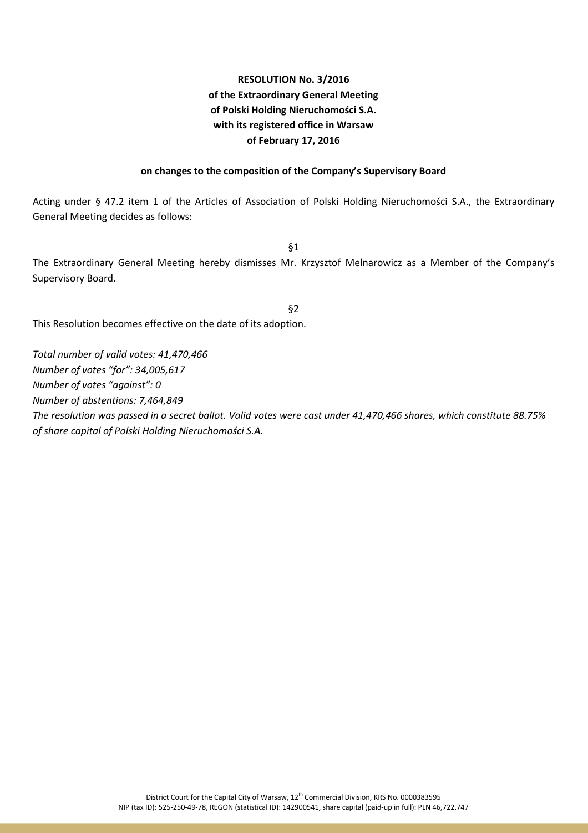# **RESOLUTION No. 3/2016 of the Extraordinary General Meeting of Polski Holding Nieruchomości S.A. with its registered office in Warsaw of February 17, 2016**

### **on changes to the composition of the Company's Supervisory Board**

Acting under § 47.2 item 1 of the Articles of Association of Polski Holding Nieruchomości S.A., the Extraordinary General Meeting decides as follows:

§1

The Extraordinary General Meeting hereby dismisses Mr. Krzysztof Melnarowicz as a Member of the Company's Supervisory Board.

§2

This Resolution becomes effective on the date of its adoption.

*Total number of valid votes: 41,470,466 Number of votes "for": 34,005,617 Number of votes "against": 0 Number of abstentions: 7,464,849 The resolution was passed in a secret ballot. Valid votes were cast under 41,470,466 shares, which constitute 88.75% of share capital of Polski Holding Nieruchomości S.A.*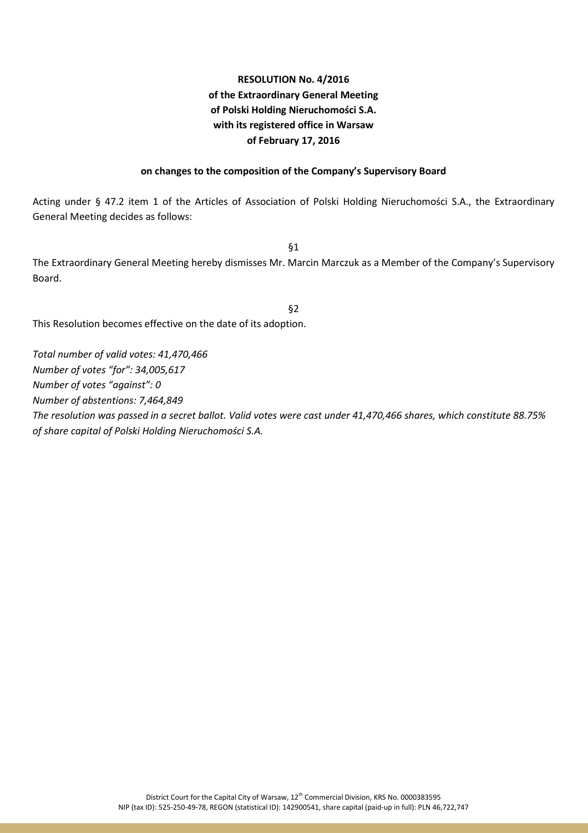# **RESOLUTION No. 4/2016 of the Extraordinary General Meeting of Polski Holding Nieruchomości S.A. with its registered office in Warsaw of February 17, 2016**

#### **on changes to the composition of the Company's Supervisory Board**

Acting under § 47.2 item 1 of the Articles of Association of Polski Holding Nieruchomości S.A., the Extraordinary General Meeting decides as follows:

§1

The Extraordinary General Meeting hereby dismisses Mr. Marcin Marczuk as a Member of the Company's Supervisory Board.

§2

This Resolution becomes effective on the date of its adoption.

*Total number of valid votes: 41,470,466 Number of votes "for": 34,005,617 Number of votes "against": 0 Number of abstentions: 7,464,849 The resolution was passed in a secret ballot. Valid votes were cast under 41,470,466 shares, which constitute 88.75% of share capital of Polski Holding Nieruchomości S.A.*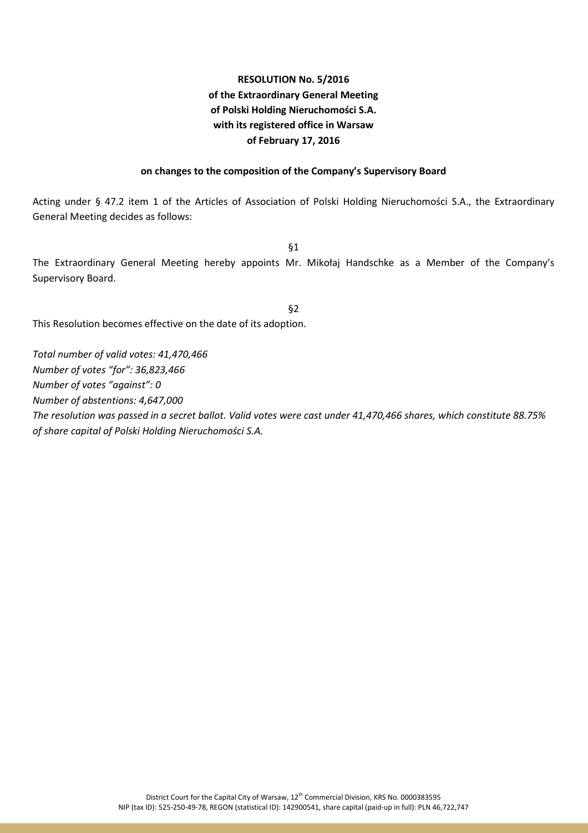# **RESOLUTION No. 5/2016 of the Extraordinary General Meeting of Polski Holding Nieruchomości S.A. with its registered office in Warsaw of February 17, 2016**

### **on changes to the composition of the Company's Supervisory Board**

Acting under § 47.2 item 1 of the Articles of Association of Polski Holding Nieruchomości S.A., the Extraordinary General Meeting decides as follows:

§1

The Extraordinary General Meeting hereby appoints Mr. Mikołaj Handschke as a Member of the Company's Supervisory Board.

§2 This Resolution becomes effective on the date of its adoption.

*Total number of valid votes: 41,470,466 Number of votes "for": 36,823,466 Number of votes "against": 0 Number of abstentions: 4,647,000 The resolution was passed in a secret ballot. Valid votes were cast under 41,470,466 shares, which constitute 88.75% of share capital of Polski Holding Nieruchomości S.A.*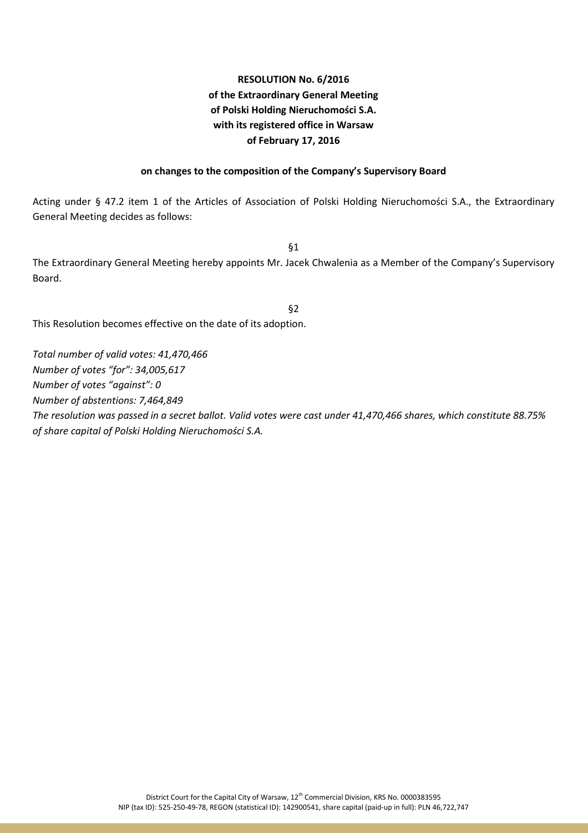# **RESOLUTION No. 6/2016 of the Extraordinary General Meeting of Polski Holding Nieruchomości S.A. with its registered office in Warsaw of February 17, 2016**

#### **on changes to the composition of the Company's Supervisory Board**

Acting under § 47.2 item 1 of the Articles of Association of Polski Holding Nieruchomości S.A., the Extraordinary General Meeting decides as follows:

§1

The Extraordinary General Meeting hereby appoints Mr. Jacek Chwalenia as a Member of the Company's Supervisory Board.

§2

This Resolution becomes effective on the date of its adoption.

*Total number of valid votes: 41,470,466 Number of votes "for": 34,005,617 Number of votes "against": 0 Number of abstentions: 7,464,849 The resolution was passed in a secret ballot. Valid votes were cast under 41,470,466 shares, which constitute 88.75% of share capital of Polski Holding Nieruchomości S.A.*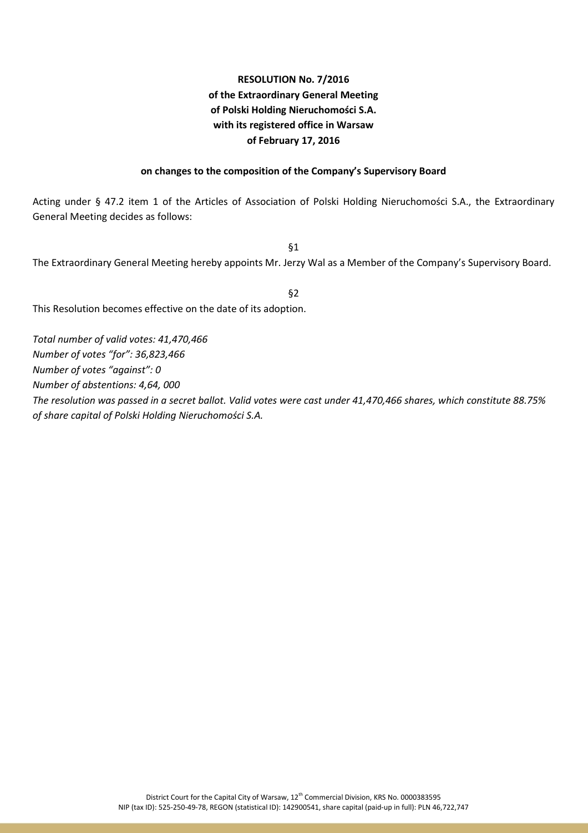# **RESOLUTION No. 7/2016 of the Extraordinary General Meeting of Polski Holding Nieruchomości S.A. with its registered office in Warsaw of February 17, 2016**

### **on changes to the composition of the Company's Supervisory Board**

Acting under § 47.2 item 1 of the Articles of Association of Polski Holding Nieruchomości S.A., the Extraordinary General Meeting decides as follows:

§1

The Extraordinary General Meeting hereby appoints Mr. Jerzy Wal as a Member of the Company's Supervisory Board.

§2

This Resolution becomes effective on the date of its adoption.

*Total number of valid votes: 41,470,466 Number of votes "for": 36,823,466 Number of votes "against": 0 Number of abstentions: 4,64, 000 The resolution was passed in a secret ballot. Valid votes were cast under 41,470,466 shares, which constitute 88.75% of share capital of Polski Holding Nieruchomości S.A.*